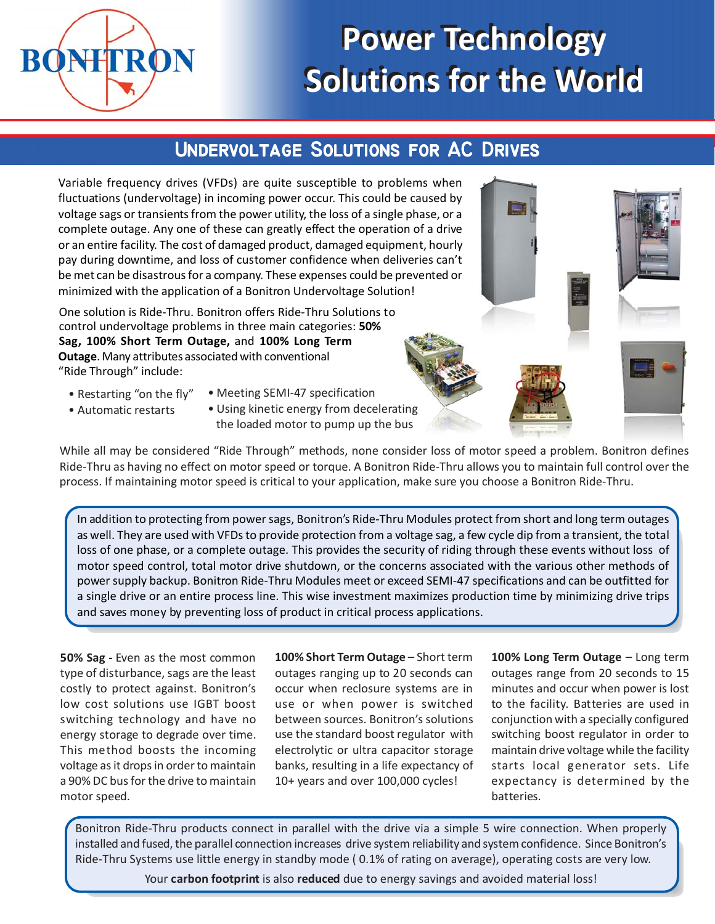

# **Power Technology Power Technology Solutions for the World Solutions for the World**

## **UNDERVOLTAGE SOLUTIONS FOR AC DRIVES**

Variable frequency drives (VFDs) are quite susceptible to problems when fluctuations (undervoltage) in incoming power occur. This could be caused by voltage sags or transients from the power utility, the loss of a single phase, or a complete outage. Any one of these can greatly effect the operation of a drive or an entire facility. The cost of damaged product, damaged equipment, hourly pay during downtime, and loss of customer confidence when deliveries can't be met can be disastrous for a company. These expenses could be prevented or minimized with the application of a Bonitron Undervoltage Solution!

One solution is Ride-Thru. Bonitron offers Ride-Thru Solutions to control undervoltage problems in three main categories: **50% Sag, 100% Short Term Outage,** and **100% Long Term Outage**. Many attributes associated with conventional "Ride Through" include:

• Restarting "on the fly"

- Meeting SEMI-47 specification
- Automatic restarts
- Using kinetic energy from decelerating the loaded motor to pump up the bus

While all may be considered "Ride Through" methods, none consider loss of motor speed a problem. Bonitron defines Ride-Thru as having no effect on motor speed or torque. A Bonitron Ride-Thru allows you to maintain full control over the process. If maintaining motor speed is critical to your application, make sure you choose a Bonitron Ride-Thru.

In addition to protecting from power sags, Bonitron's Ride-Thru Modules protect from short and long term outages as well. They are used with VFDs to provide protection from a voltage sag, a few cycle dip from a transient, the total loss of one phase, or a complete outage. This provides the security of riding through these events without loss of motor speed control, total motor drive shutdown, or the concerns associated with the various other methods of power supply backup. Bonitron Ride-Thru Modules meet or exceed SEMI-47 specifications and can be outfitted for a single drive or an entire process line. This wise investment maximizes production time by minimizing drive trips and saves money by preventing loss of product in critical process applications.

**50% Sag -** Even as the most common type of disturbance, sags are the least costly to protect against. Bonitron's low cost solutions use IGBT boost switching technology and have no energy storage to degrade over time. This method boosts the incoming voltage as it drops in order to maintain a 90% DC bus for the drive to maintain motor speed.

**100% Short Term Outage** – Short term outages ranging up to 20 seconds can occur when reclosure systems are in use or when power is switched between sources. Bonitron's solutions use the standard boost regulator with electrolytic or ultra capacitor storage banks, resulting in a life expectancy of 10+ years and over 100,000 cycles!

**100% Long Term Outage** – Long term outages range from 20 seconds to 15 minutes and occur when power is lost to the facility. Batteries are used in conjunction with a specially configured switching boost regulator in order to maintain drive voltage while the facility starts local generator sets. Life expectancy is determined by the batteries.

Bonitron Ride-Thru products connect in parallel with the drive via a simple 5 wire connection. When properly installed and fused, the parallel connection increases drive system reliability and system confidence. Since Bonitron's Ride-Thru Systems use little energy in standby mode ( 0.1% of rating on average), operating costs are very low.

Your **carbon footprint** is also **reduced** due to energy savings and avoided material loss!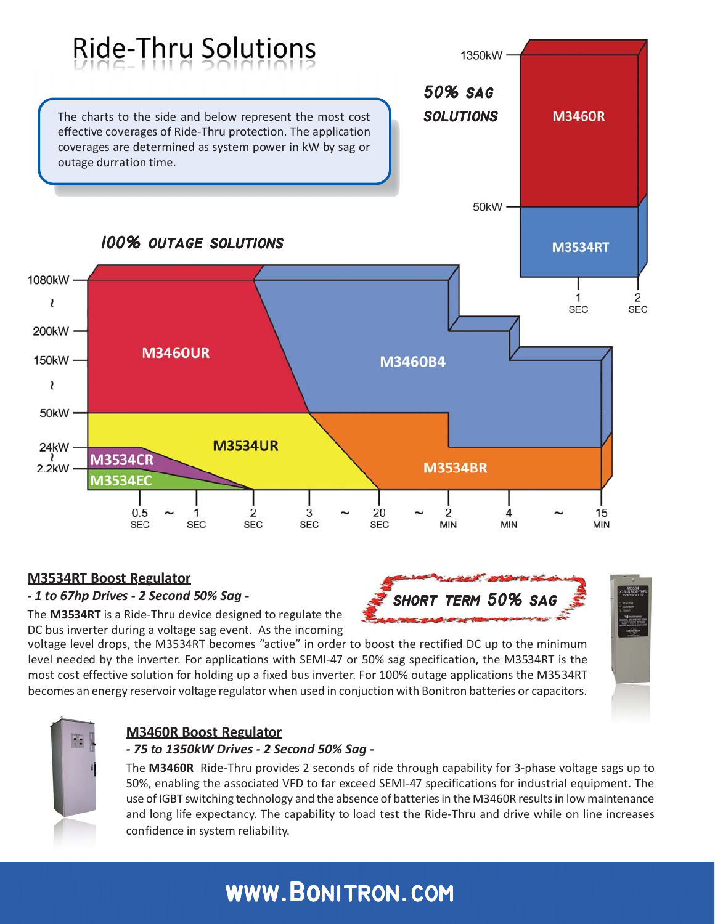

## **M3534RT Boost Regulator**

## *- 1 to 67hp Drives - 2 Second 50% Sag -*

The **M3534RT** is a Ride-Thru device designed to regulate the DC bus inverter during a voltage sag event. As the incoming

voltage level drops, the M3534RT becomes "active" in order to boost the rectified DC up to the minimum level needed by the inverter. For applications with SEMI-47 or 50% sag specification, the M3534RT is the most cost effective solution for holding up a fixed bus inverter. For 100% outage applications the M3534RT becomes an energy reservoir voltage regulator when used in conjuction with Bonitron batteries or capacitors.



## **M3460R Boost Regulator**

## *- 75 to 1350kW Drives - 2 Second 50% Sag -*

The **M3460R** Ride-Thru provides 2 seconds of ride through capability for 3-phase voltage sags up to 50%, enabling the associated VFD to far exceed SEMI-47 specifications for industrial equipment. The use of IGBT switching technology and the absence of batteries in the M3460R results in low maintenance and long life expectancy. The capability to load test the Ride-Thru and drive while on line increases confidence in system reliability.

**short term 50% sag**

## **www.Bonitron.com www.Bonitron.com**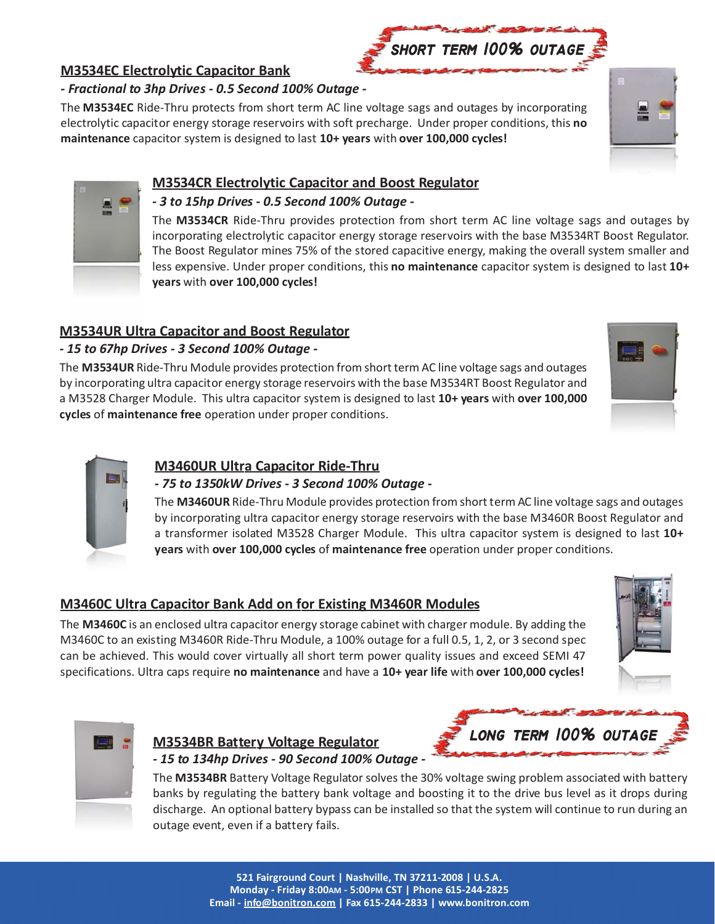## **M3534EC Electrolytic Capacitor Bank**

## *- Fractional to 3hp Drives - 0.5 Second 100% Outage -*

The **M3534EC** Ride-Thru protects from short term AC line voltage sags and outages by incorporating electrolytic capacitor energy storage reservoirs with soft precharge. Under proper conditions, this **no maintenance** capacitor system is designed to last **10+ years** with **over 100,000 cycles!**

## **M3534CR Electrolytic Capacitor and Boost Regulator**

## *- 3 to 15hp Drives - 0.5 Second 100% Outage -*

The **M3534CR** Ride-Thru provides protection from short term AC line voltage sags and outages by incorporating electrolytic capacitor energy storage reservoirs with the base M3534RT Boost Regulator. The Boost Regulator mines 75% of the stored capacitive energy, making the overall system smaller and less expensive. Under proper conditions, this **no maintenance** capacitor system is designed to last **10+ years** with **over 100,000 cycles!**

## **M3534UR Ultra Capacitor and Boost Regulator**

## *- 15 to 67hp Drives - 3 Second 100% Outage -*

The **M3534UR** Ride-Thru Module provides protection from short term AC line voltage sags and outages by incorporating ultra capacitor energy storage reservoirs with the base M3534RT Boost Regulator and a M3528 Charger Module. This ultra capacitor system is designed to last **10+ years** with **over 100,000 cycles** of **maintenance free** operation under proper conditions.

## **M3460UR Ultra Capacitor Ride-Thru**

## *- 75 to 1350kW Drives - 3 Second 100% Outage -*

The **M3460UR** Ride-Thru Module provides protection from short term AC line voltage sags and outages by incorporating ultra capacitor energy storage reservoirs with the base M3460R Boost Regulator and a transformer isolated M3528 Charger Module. This ultra capacitor system is designed to last **10+ years** with **over 100,000 cycles** of **maintenance free** operation under proper conditions.

## **M3460C Ultra Capacitor Bank Add on for Existing M3460R Modules**

The **M3460C** is an enclosed ultra capacitor energy storage cabinet with charger module. By adding the M3460C to an existing M3460R Ride-Thru Module, a 100% outage for a full 0.5, 1, 2, or 3 second spec can be achieved. This would cover virtually all short term power quality issues and exceed SEMI 47 specifications. Ultra caps require **no maintenance** and have a **10+ year life** with **over 100,000 cycles!**



**M3534BR Battery Voltage Regulator**

The **M3534BR** Battery Voltage Regulator solves the 30% voltage swing problem associated with battery banks by regulating the battery bank voltage and boosting it to the drive bus level as it drops during discharge. An optional battery bypass can be installed so that the system will continue to run during an outage event, even if a battery fails.





**long term 100% outage 100% outage**